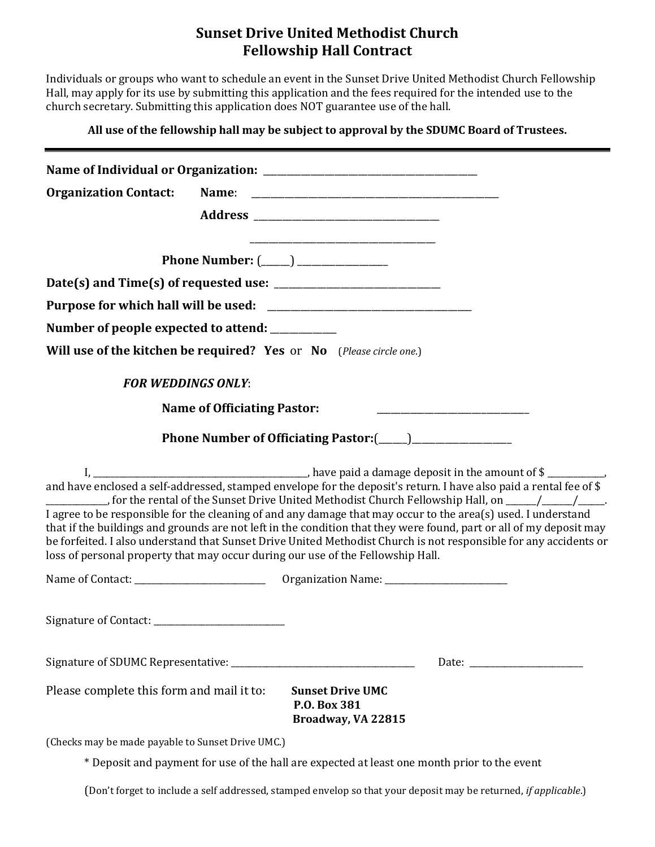### **Sunset Drive United Methodist Church Fellowship Hall Contract**

Individuals or groups who want to schedule an event in the Sunset Drive United Methodist Church Fellowship Hall, may apply for its use by submitting this application and the fees required for the intended use to the church secretary. Submitting this application does NOT guarantee use of the hall.

**All use of the fellowship hall may be subject to approval by the SDUMC Board of Trustees.**

| <b>Organization Contact:</b>                                                                                                                                                                                                                                                                                                                                                                                                                                                                                                                                   |                                                               |  |
|----------------------------------------------------------------------------------------------------------------------------------------------------------------------------------------------------------------------------------------------------------------------------------------------------------------------------------------------------------------------------------------------------------------------------------------------------------------------------------------------------------------------------------------------------------------|---------------------------------------------------------------|--|
|                                                                                                                                                                                                                                                                                                                                                                                                                                                                                                                                                                |                                                               |  |
|                                                                                                                                                                                                                                                                                                                                                                                                                                                                                                                                                                |                                                               |  |
| Phone Number: (_____) _______________                                                                                                                                                                                                                                                                                                                                                                                                                                                                                                                          |                                                               |  |
|                                                                                                                                                                                                                                                                                                                                                                                                                                                                                                                                                                |                                                               |  |
|                                                                                                                                                                                                                                                                                                                                                                                                                                                                                                                                                                |                                                               |  |
| Number of people expected to attend: __________                                                                                                                                                                                                                                                                                                                                                                                                                                                                                                                |                                                               |  |
| Will use of the kitchen be required? Yes or No (Please circle one.)                                                                                                                                                                                                                                                                                                                                                                                                                                                                                            |                                                               |  |
| <b>FOR WEDDINGS ONLY:</b>                                                                                                                                                                                                                                                                                                                                                                                                                                                                                                                                      |                                                               |  |
| <b>Name of Officiating Pastor:</b>                                                                                                                                                                                                                                                                                                                                                                                                                                                                                                                             |                                                               |  |
|                                                                                                                                                                                                                                                                                                                                                                                                                                                                                                                                                                |                                                               |  |
| ___________, for the rental of the Sunset Drive United Methodist Church Fellowship Hall, on _____/_____/_____.<br>I agree to be responsible for the cleaning of and any damage that may occur to the area(s) used. I understand<br>that if the buildings and grounds are not left in the condition that they were found, part or all of my deposit may<br>be forfeited. I also understand that Sunset Drive United Methodist Church is not responsible for any accidents or<br>loss of personal property that may occur during our use of the Fellowship Hall. |                                                               |  |
|                                                                                                                                                                                                                                                                                                                                                                                                                                                                                                                                                                |                                                               |  |
|                                                                                                                                                                                                                                                                                                                                                                                                                                                                                                                                                                |                                                               |  |
|                                                                                                                                                                                                                                                                                                                                                                                                                                                                                                                                                                |                                                               |  |
| Please complete this form and mail it to:                                                                                                                                                                                                                                                                                                                                                                                                                                                                                                                      | <b>Sunset Drive UMC</b><br>P.O. Box 381<br>Broadway, VA 22815 |  |
| (Checks may be made payable to Sunset Drive UMC.)                                                                                                                                                                                                                                                                                                                                                                                                                                                                                                              |                                                               |  |
| * Deposit and payment for use of the hall are expected at least one month prior to the event                                                                                                                                                                                                                                                                                                                                                                                                                                                                   |                                                               |  |

Deposit and payment for use of the hall are expected at least one month prior to the event

(Don't forget to include a self addressed, stamped envelop so that your deposit may be returned, *if applicable*.)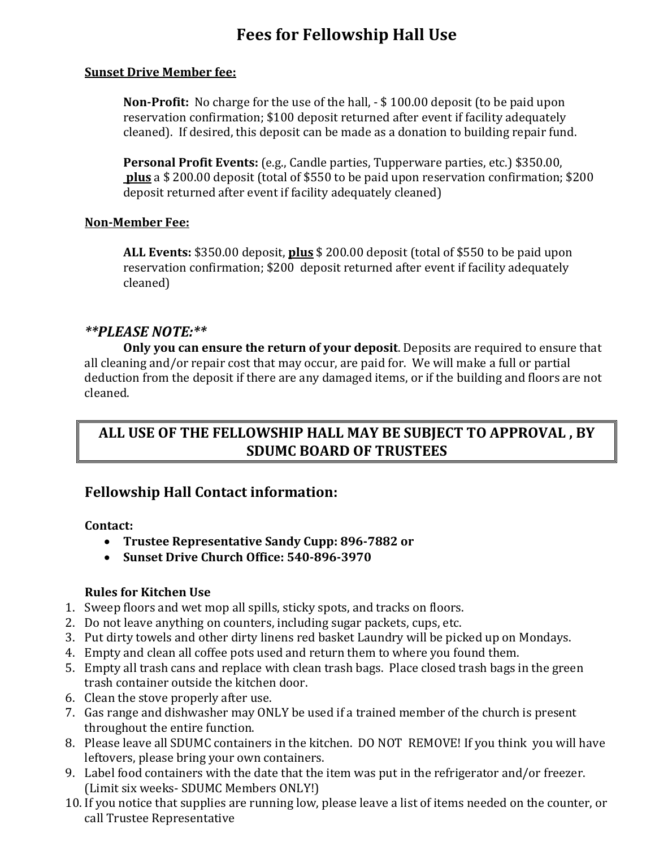# **Fees for Fellowship Hall Use**

#### **Sunset Drive Member fee:**

**Non-Profit:** No charge for the use of the hall, - \$ 100.00 deposit (to be paid upon reservation confirmation; \$100 deposit returned after event if facility adequately cleaned). If desired, this deposit can be made as a donation to building repair fund.

**Personal Profit Events:** (e.g., Candle parties, Tupperware parties, etc.) \$350.00, **plus** a \$ 200.00 deposit (total of \$550 to be paid upon reservation confirmation; \$200 deposit returned after event if facility adequately cleaned)

#### **Non-Member Fee:**

**ALL Events:** \$350.00 deposit, **plus** \$ 200.00 deposit (total of \$550 to be paid upon reservation confirmation; \$200 deposit returned after event if facility adequately cleaned)

### *\*\*PLEASE NOTE:\*\**

**Only you can ensure the return of your deposit**. Deposits are required to ensure that all cleaning and/or repair cost that may occur, are paid for. We will make a full or partial deduction from the deposit if there are any damaged items, or if the building and floors are not cleaned.

# **ALL USE OF THE FELLOWSHIP HALL MAY BE SUBJECT TO APPROVAL , BY SDUMC BOARD OF TRUSTEES**

### **Fellowship Hall Contact information:**

**Contact:** 

- **Trustee Representative Sandy Cupp: 896-7882 or**
- **Sunset Drive Church Office: 540-896-3970**

### **Rules for Kitchen Use**

- 1. Sweep floors and wet mop all spills, sticky spots, and tracks on floors.
- 2. Do not leave anything on counters, including sugar packets, cups, etc.
- 3. Put dirty towels and other dirty linens red basket Laundry will be picked up on Mondays.
- 4. Empty and clean all coffee pots used and return them to where you found them.
- 5. Empty all trash cans and replace with clean trash bags. Place closed trash bags in the green trash container outside the kitchen door.
- 6. Clean the stove properly after use.
- 7. Gas range and dishwasher may ONLY be used if a trained member of the church is present throughout the entire function.
- 8. Please leave all SDUMC containers in the kitchen. DO NOT REMOVE! If you think you will have leftovers, please bring your own containers.
- 9. Label food containers with the date that the item was put in the refrigerator and/or freezer. (Limit six weeks- SDUMC Members ONLY!)
- 10. If you notice that supplies are running low, please leave a list of items needed on the counter, or call Trustee Representative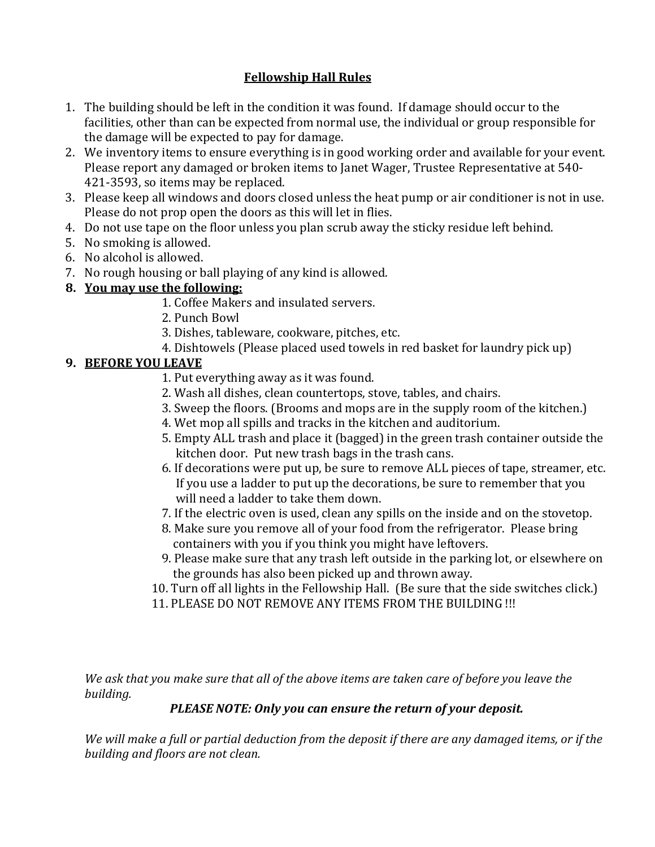### **Fellowship Hall Rules**

- 1. The building should be left in the condition it was found. If damage should occur to the facilities, other than can be expected from normal use, the individual or group responsible for the damage will be expected to pay for damage.
- 2. We inventory items to ensure everything is in good working order and available for your event. Please report any damaged or broken items to Janet Wager, Trustee Representative at 540- 421-3593, so items may be replaced.
- 3. Please keep all windows and doors closed unless the heat pump or air conditioner is not in use. Please do not prop open the doors as this will let in flies.
- 4. Do not use tape on the floor unless you plan scrub away the sticky residue left behind.
- 5. No smoking is allowed.
- 6. No alcohol is allowed.
- 7. No rough housing or ball playing of any kind is allowed.

### **8. You may use the following:**

- 1. Coffee Makers and insulated servers.
- 2. Punch Bowl
- 3. Dishes, tableware, cookware, pitches, etc.
- 4. Dishtowels (Please placed used towels in red basket for laundry pick up)

## **9. BEFORE YOU LEAVE**

- 1. Put everything away as it was found.
- 2. Wash all dishes, clean countertops, stove, tables, and chairs.
- 3. Sweep the floors. (Brooms and mops are in the supply room of the kitchen.)
- 4. Wet mop all spills and tracks in the kitchen and auditorium.
- 5. Empty ALL trash and place it (bagged) in the green trash container outside the kitchen door. Put new trash bags in the trash cans.
- 6. If decorations were put up, be sure to remove ALL pieces of tape, streamer, etc. If you use a ladder to put up the decorations, be sure to remember that you will need a ladder to take them down.
- 7. If the electric oven is used, clean any spills on the inside and on the stovetop.
- 8. Make sure you remove all of your food from the refrigerator. Please bring containers with you if you think you might have leftovers.
- 9. Please make sure that any trash left outside in the parking lot, or elsewhere on the grounds has also been picked up and thrown away.
- 10. Turn off all lights in the Fellowship Hall. (Be sure that the side switches click.)
- 11. PLEASE DO NOT REMOVE ANY ITEMS FROM THE BUILDING !!!

*We ask that you make sure that all of the above items are taken care of before you leave the building.*

# *PLEASE NOTE: Only you can ensure the return of your deposit.*

*We will make a full or partial deduction from the deposit if there are any damaged items, or if the building and floors are not clean.*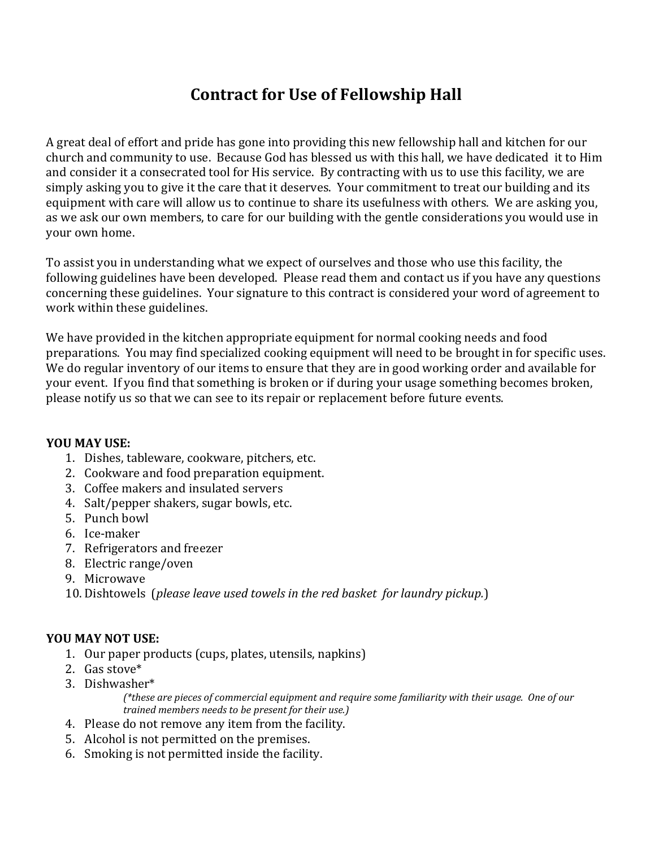# **Contract for Use of Fellowship Hall**

A great deal of effort and pride has gone into providing this new fellowship hall and kitchen for our church and community to use. Because God has blessed us with this hall, we have dedicated it to Him and consider it a consecrated tool for His service. By contracting with us to use this facility, we are simply asking you to give it the care that it deserves. Your commitment to treat our building and its equipment with care will allow us to continue to share its usefulness with others. We are asking you, as we ask our own members, to care for our building with the gentle considerations you would use in your own home.

To assist you in understanding what we expect of ourselves and those who use this facility, the following guidelines have been developed. Please read them and contact us if you have any questions concerning these guidelines. Your signature to this contract is considered your word of agreement to work within these guidelines.

We have provided in the kitchen appropriate equipment for normal cooking needs and food preparations. You may find specialized cooking equipment will need to be brought in for specific uses. We do regular inventory of our items to ensure that they are in good working order and available for your event. If you find that something is broken or if during your usage something becomes broken, please notify us so that we can see to its repair or replacement before future events.

#### **YOU MAY USE:**

- 1. Dishes, tableware, cookware, pitchers, etc.
- 2. Cookware and food preparation equipment.
- 3. Coffee makers and insulated servers
- 4. Salt/pepper shakers, sugar bowls, etc.
- 5. Punch bowl
- 6. Ice-maker
- 7. Refrigerators and freezer
- 8. Electric range/oven
- 9. Microwave
- 10. Dishtowels (*please leave used towels in the red basket for laundry pickup.*)

#### **YOU MAY NOT USE:**

- 1. Our paper products (cups, plates, utensils, napkins)
- 2. Gas stove\*
- 3. Dishwasher\*

*(\*these are pieces of commercial equipment and require some familiarity with their usage. One of our trained members needs to be present for their use.)*

- 4. Please do not remove any item from the facility.
- 5. Alcohol is not permitted on the premises.
- 6. Smoking is not permitted inside the facility.